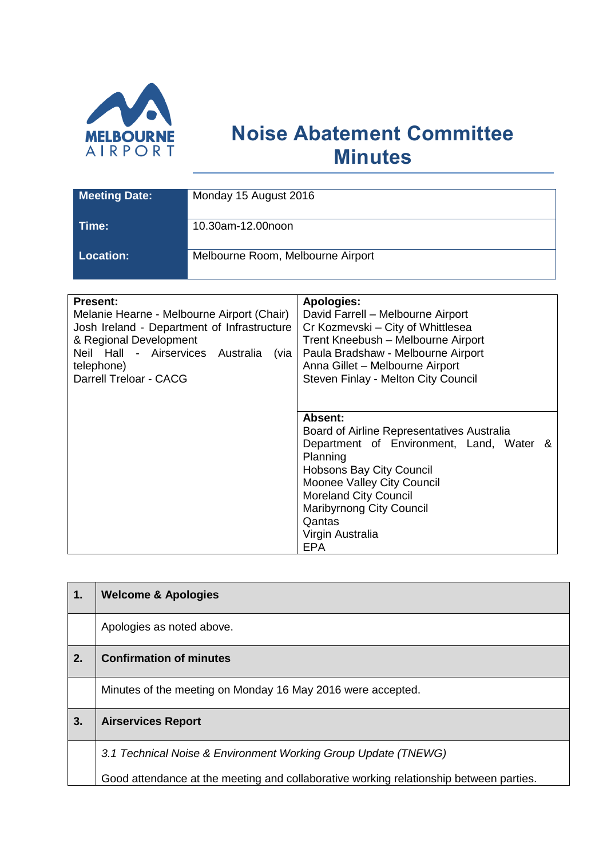

## **Noise Abatement Committee Minutes**

| <b>Meeting Date:</b> | Monday 15 August 2016             |
|----------------------|-----------------------------------|
| Time:                | 10.30am-12.00noon                 |
| <b>Location:</b>     | Melbourne Room, Melbourne Airport |

| <b>Present:</b>                             | <b>Apologies:</b>                          |
|---------------------------------------------|--------------------------------------------|
| Melanie Hearne - Melbourne Airport (Chair)  | David Farrell - Melbourne Airport          |
| Josh Ireland - Department of Infrastructure | Cr Kozmevski - City of Whittlesea          |
| & Regional Development                      | Trent Kneebush - Melbourne Airport         |
| Neil Hall - Airservices Australia<br>(via l | Paula Bradshaw - Melbourne Airport         |
| telephone)                                  | Anna Gillet - Melbourne Airport            |
| Darrell Treloar - CACG                      | Steven Finlay - Melton City Council        |
|                                             |                                            |
|                                             |                                            |
|                                             |                                            |
|                                             | Absent:                                    |
|                                             | Board of Airline Representatives Australia |
|                                             | Department of Environment, Land, Water &   |
|                                             | Planning                                   |
|                                             | Hobsons Bay City Council                   |
|                                             | Moonee Valley City Council                 |
|                                             | <b>Moreland City Council</b>               |
|                                             | <b>Maribyrnong City Council</b>            |
|                                             | Qantas                                     |
|                                             |                                            |
|                                             | Virgin Australia                           |
|                                             | <b>EPA</b>                                 |

| 1. | <b>Welcome &amp; Apologies</b>                                                         |
|----|----------------------------------------------------------------------------------------|
|    | Apologies as noted above.                                                              |
| 2. | <b>Confirmation of minutes</b>                                                         |
|    | Minutes of the meeting on Monday 16 May 2016 were accepted.                            |
| 3. | <b>Airservices Report</b>                                                              |
|    | 3.1 Technical Noise & Environment Working Group Update (TNEWG)                         |
|    | Good attendance at the meeting and collaborative working relationship between parties. |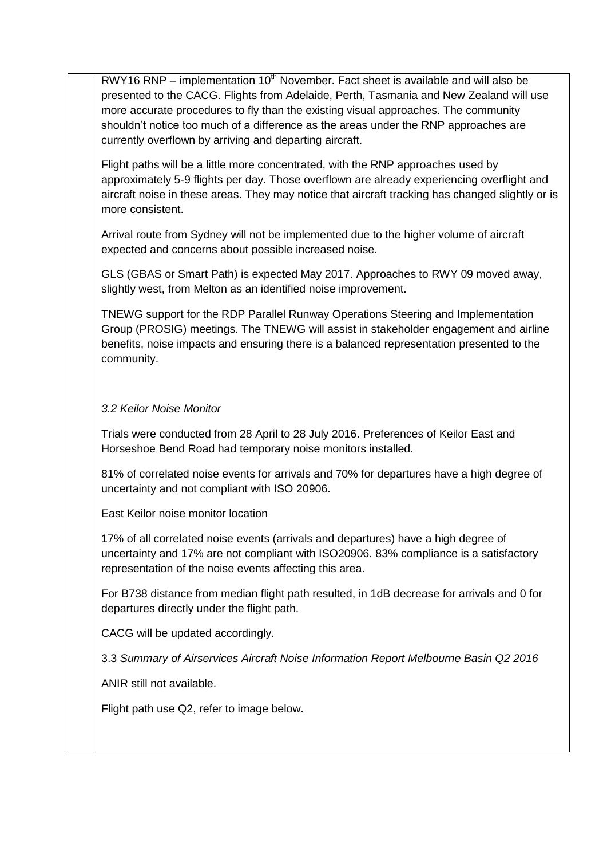$RWY16 RNP – implementation 10<sup>th</sup> November. Fact sheet is available and will also be$ presented to the CACG. Flights from Adelaide, Perth, Tasmania and New Zealand will use more accurate procedures to fly than the existing visual approaches. The community shouldn't notice too much of a difference as the areas under the RNP approaches are currently overflown by arriving and departing aircraft.

Flight paths will be a little more concentrated, with the RNP approaches used by approximately 5-9 flights per day. Those overflown are already experiencing overflight and aircraft noise in these areas. They may notice that aircraft tracking has changed slightly or is more consistent.

Arrival route from Sydney will not be implemented due to the higher volume of aircraft expected and concerns about possible increased noise.

GLS (GBAS or Smart Path) is expected May 2017. Approaches to RWY 09 moved away, slightly west, from Melton as an identified noise improvement.

TNEWG support for the RDP Parallel Runway Operations Steering and Implementation Group (PROSIG) meetings. The TNEWG will assist in stakeholder engagement and airline benefits, noise impacts and ensuring there is a balanced representation presented to the community.

## *3.2 Keilor Noise Monitor*

Trials were conducted from 28 April to 28 July 2016. Preferences of Keilor East and Horseshoe Bend Road had temporary noise monitors installed.

81% of correlated noise events for arrivals and 70% for departures have a high degree of uncertainty and not compliant with ISO 20906.

East Keilor noise monitor location

17% of all correlated noise events (arrivals and departures) have a high degree of uncertainty and 17% are not compliant with ISO20906. 83% compliance is a satisfactory representation of the noise events affecting this area.

For B738 distance from median flight path resulted, in 1dB decrease for arrivals and 0 for departures directly under the flight path.

CACG will be updated accordingly.

3.3 *Summary of Airservices Aircraft Noise Information Report Melbourne Basin Q2 2016*

ANIR still not available.

Flight path use Q2, refer to image below.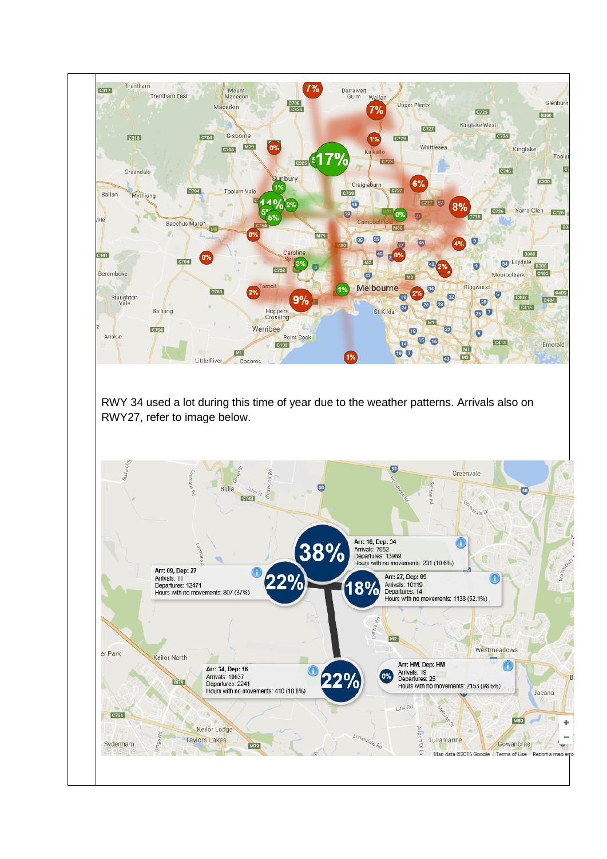

RWY 34 used a lot during this time of year due to the weather patterns. Arrivals also on RWY27, refer to image below.

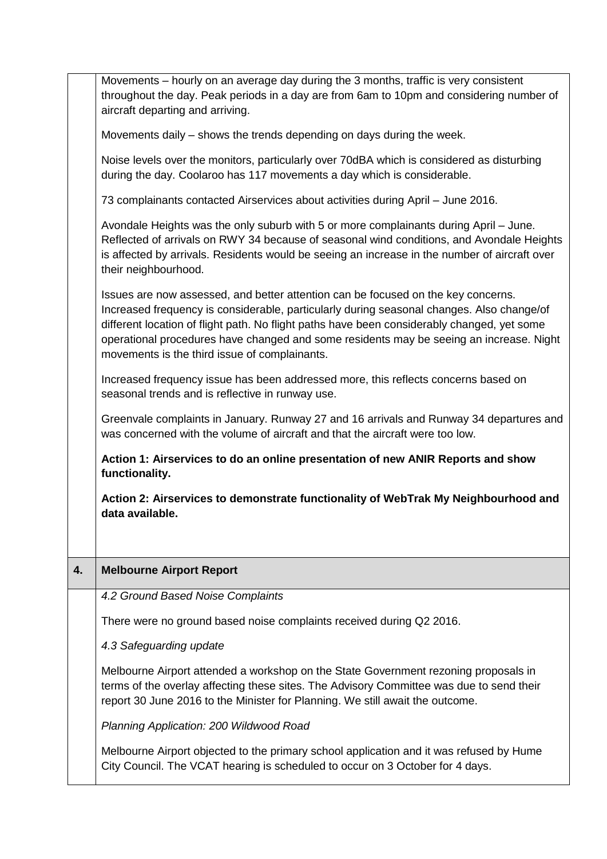|    | Movements - hourly on an average day during the 3 months, traffic is very consistent<br>throughout the day. Peak periods in a day are from 6am to 10pm and considering number of<br>aircraft departing and arriving.                                                                                                                                                                                                      |
|----|---------------------------------------------------------------------------------------------------------------------------------------------------------------------------------------------------------------------------------------------------------------------------------------------------------------------------------------------------------------------------------------------------------------------------|
|    | Movements daily – shows the trends depending on days during the week.                                                                                                                                                                                                                                                                                                                                                     |
|    | Noise levels over the monitors, particularly over 70dBA which is considered as disturbing<br>during the day. Coolaroo has 117 movements a day which is considerable.                                                                                                                                                                                                                                                      |
|    | 73 complainants contacted Airservices about activities during April - June 2016.                                                                                                                                                                                                                                                                                                                                          |
|    | Avondale Heights was the only suburb with 5 or more complainants during April – June.<br>Reflected of arrivals on RWY 34 because of seasonal wind conditions, and Avondale Heights<br>is affected by arrivals. Residents would be seeing an increase in the number of aircraft over<br>their neighbourhood.                                                                                                               |
|    | Issues are now assessed, and better attention can be focused on the key concerns.<br>Increased frequency is considerable, particularly during seasonal changes. Also change/of<br>different location of flight path. No flight paths have been considerably changed, yet some<br>operational procedures have changed and some residents may be seeing an increase. Night<br>movements is the third issue of complainants. |
|    | Increased frequency issue has been addressed more, this reflects concerns based on<br>seasonal trends and is reflective in runway use.                                                                                                                                                                                                                                                                                    |
|    | Greenvale complaints in January. Runway 27 and 16 arrivals and Runway 34 departures and                                                                                                                                                                                                                                                                                                                                   |
|    | was concerned with the volume of aircraft and that the aircraft were too low.                                                                                                                                                                                                                                                                                                                                             |
|    | Action 1: Airservices to do an online presentation of new ANIR Reports and show<br>functionality.                                                                                                                                                                                                                                                                                                                         |
|    | Action 2: Airservices to demonstrate functionality of WebTrak My Neighbourhood and<br>data available.                                                                                                                                                                                                                                                                                                                     |
|    |                                                                                                                                                                                                                                                                                                                                                                                                                           |
| 4. | <b>Melbourne Airport Report</b>                                                                                                                                                                                                                                                                                                                                                                                           |
|    | 4.2 Ground Based Noise Complaints                                                                                                                                                                                                                                                                                                                                                                                         |
|    | There were no ground based noise complaints received during Q2 2016.                                                                                                                                                                                                                                                                                                                                                      |
|    | 4.3 Safeguarding update                                                                                                                                                                                                                                                                                                                                                                                                   |
|    | Melbourne Airport attended a workshop on the State Government rezoning proposals in<br>terms of the overlay affecting these sites. The Advisory Committee was due to send their<br>report 30 June 2016 to the Minister for Planning. We still await the outcome.                                                                                                                                                          |
|    | Planning Application: 200 Wildwood Road                                                                                                                                                                                                                                                                                                                                                                                   |